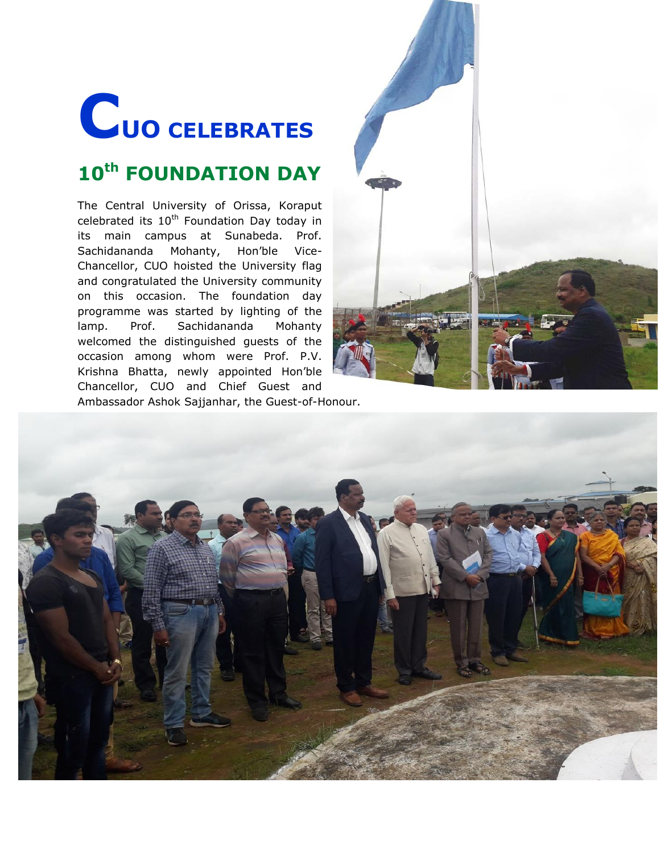## **CUO CELEBRATES**

## **10th FOUNDATION DAY**

The Central University of Orissa, Koraput celebrated its  $10^{th}$  Foundation Day today in its main campus at Sunabeda. Prof. Sachidananda Mohanty, Hon"ble Vice-Chancellor, CUO hoisted the University flag and congratulated the University community on this occasion. The foundation day programme was started by lighting of the lamp. Prof. Sachidananda Mohanty welcomed the distinguished guests of the occasion among whom were Prof. P.V. Krishna Bhatta, newly appointed Hon"ble Chancellor, CUO and Chief Guest and Ambassador Ashok Sajjanhar, the Guest-of-Honour.

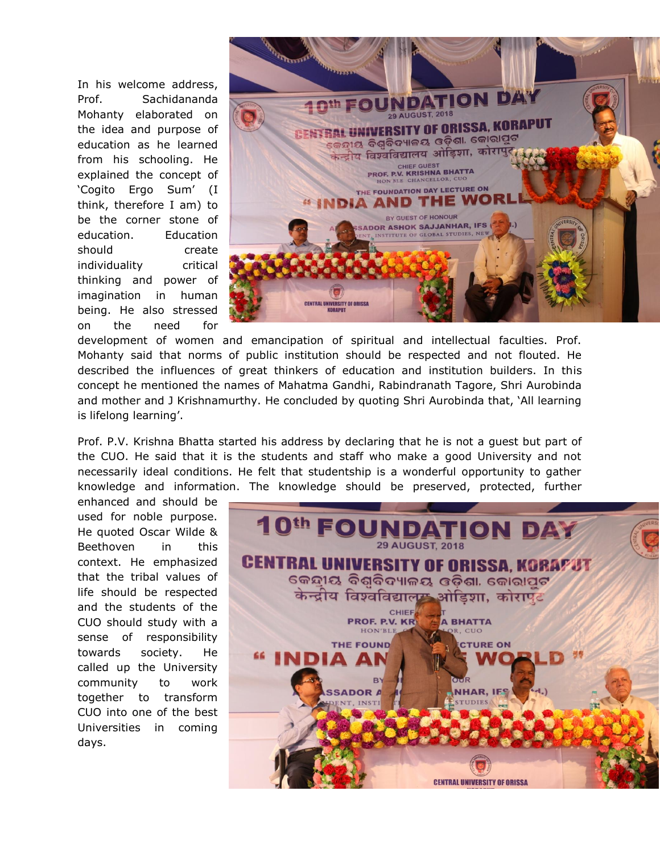In his welcome address, Prof. Sachidananda Mohanty elaborated on the idea and purpose of education as he learned from his schooling. He explained the concept of "Cogito Ergo Sum" (I think, therefore I am) to be the corner stone of education. Education should create individuality critical thinking and power of imagination in human being. He also stressed on the need for



development of women and emancipation of spiritual and intellectual faculties. Prof. Mohanty said that norms of public institution should be respected and not flouted. He described the influences of great thinkers of education and institution builders. In this concept he mentioned the names of Mahatma Gandhi, Rabindranath Tagore, Shri Aurobinda and mother and J Krishnamurthy. He concluded by quoting Shri Aurobinda that, "All learning is lifelong learning'.

Prof. P.V. Krishna Bhatta started his address by declaring that he is not a guest but part of the CUO. He said that it is the students and staff who make a good University and not necessarily ideal conditions. He felt that studentship is a wonderful opportunity to gather knowledge and information. The knowledge should be preserved, protected, further

enhanced and should be used for noble purpose. He quoted Oscar Wilde & Beethoven in this context. He emphasized that the tribal values of life should be respected and the students of the CUO should study with a sense of responsibility towards society. He called up the University community to work together to transform CUO into one of the best Universities in coming days.